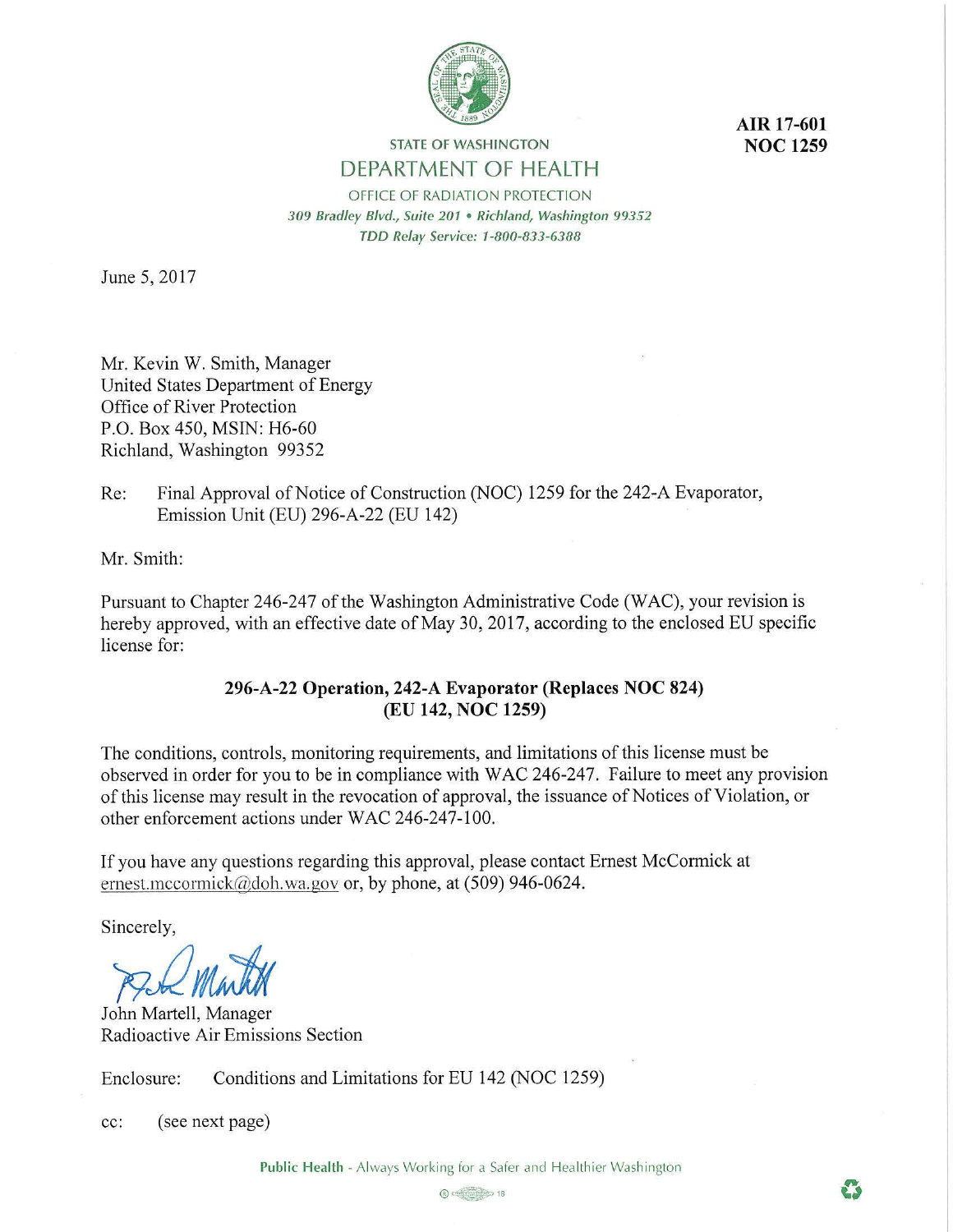

**AIR 17-601 NOC 1259** 

 $\bullet$ 

# **STATE OF WASHINGTON** DEPARTMENT OF HEALTH

OFFICE OF RADIATION PROTECTION *309 Bradley Blvd., Suite 201* • *Richland, Washington 99352 TDD Relay Service: 1-800-833-6388* 

June 5, 2017

Mr. Kevin W. Smith, Manager United States Department of Energy Office of River Protection P.O. Box 450, MSIN: H6-60 Richland, Washington 99352

Re: Final Approval of Notice of Construction (NOC) 1259 for the 242-A Evaporator, Emission Unit (EU) 296-A-22 (EU 142)

Mr. Smith:

Pursuant to Chapter 246-247 of the Washington Administrative Code (WAC), your revision is hereby approved, with an effective date of May 30, 2017, according to the enclosed EU specific license for:

# **296-A-22 Operation, 242-A Evaporator (Replaces NOC 824) (EU 142, NOC 1259)**

The conditions, controls, monitoring requirements, and limitations of this license must be observed in order for you to be in compliance with WAC 246-247. Failure to meet any provision of this license may result in the revocation of approval, the issuance of Notices of Violation, or other enforcement actions under WAC 246-247-100.

If you have any questions regarding this approval, please contact Ernest McCormick at ernest.mccormick $\omega$ doh.wa.gov or, by phone, at (509) 946-0624.

Sincerely,

PIQ Martil

John Martell, Manager Radioactive Air Emissions Section

Enclosure: Conditions and Limitations for EU 142 (NOC 1259)

cc: (see next page)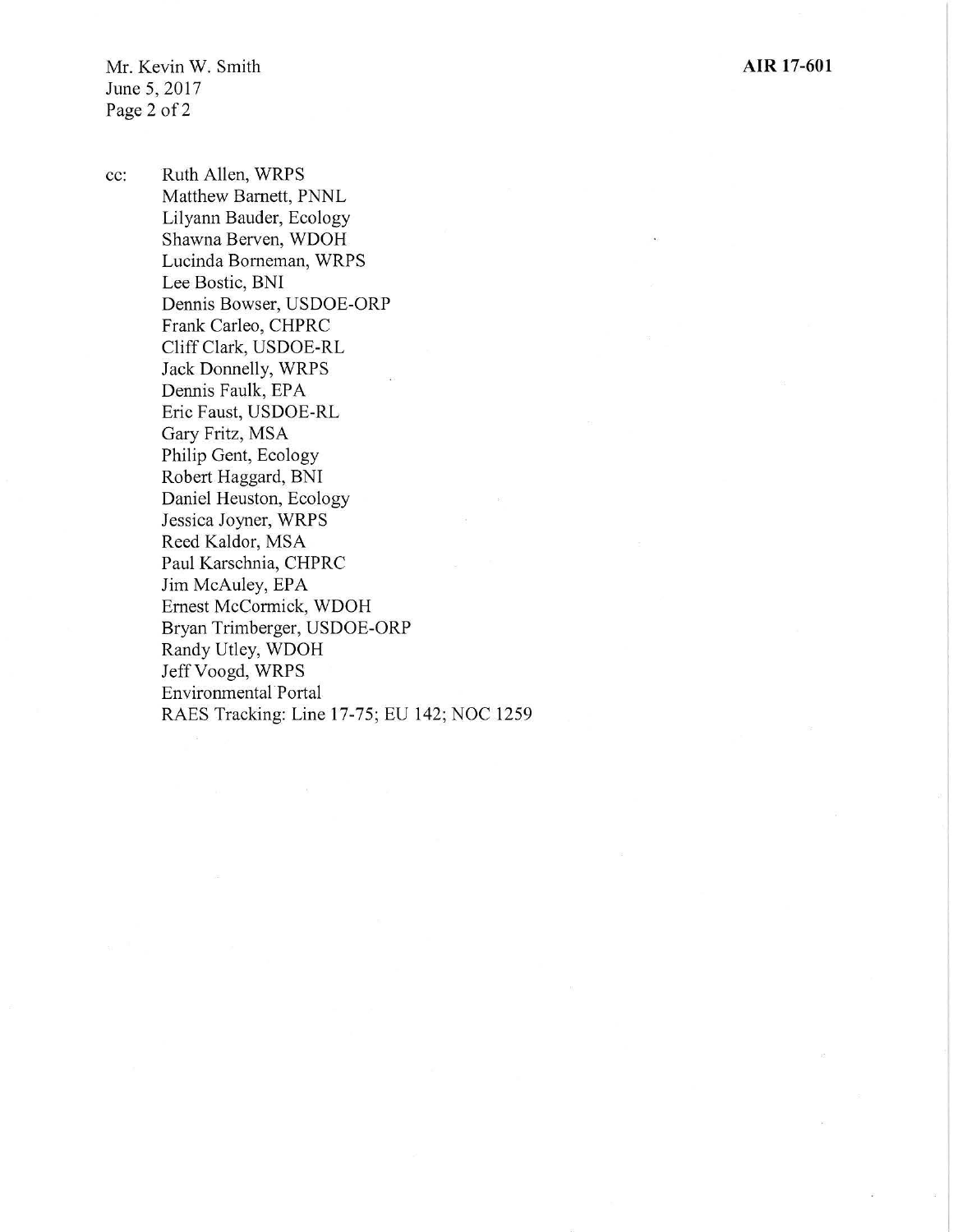Mr. Kevin W. Smith June 5, 2017 Page 2 of 2

cc: Ruth Allen, WRPS Matthew Barnett, PNNL Lilyann Bauder, Ecology Shawna Berven, WDOH Lucinda Borneman, WRPS Lee Bostic, BNI Dennis Bowser, USDOE-ORP Frank Carleo, CHPRC Cliff Clark, USDOE-RL Jack Donnelly, WRPS Dennis Faulk, EPA Eric Faust, USDOE-RL Gary Fritz, MSA Philip Gent, Ecology Robert Haggard, BNI Daniel Heuston, Ecology Jessica Joyner, WRPS Reed Kaldor, MSA Paul Karschnia, CHPRC Jim McAuley, EPA Ernest McCormick, WDOH Bryan Trimberger, USDOE-ORP Randy Utley, WDOH Jeff Voogd, WRPS Environmental· Portal RAES Tracking: Line 17-75; EU 142; NOC 1259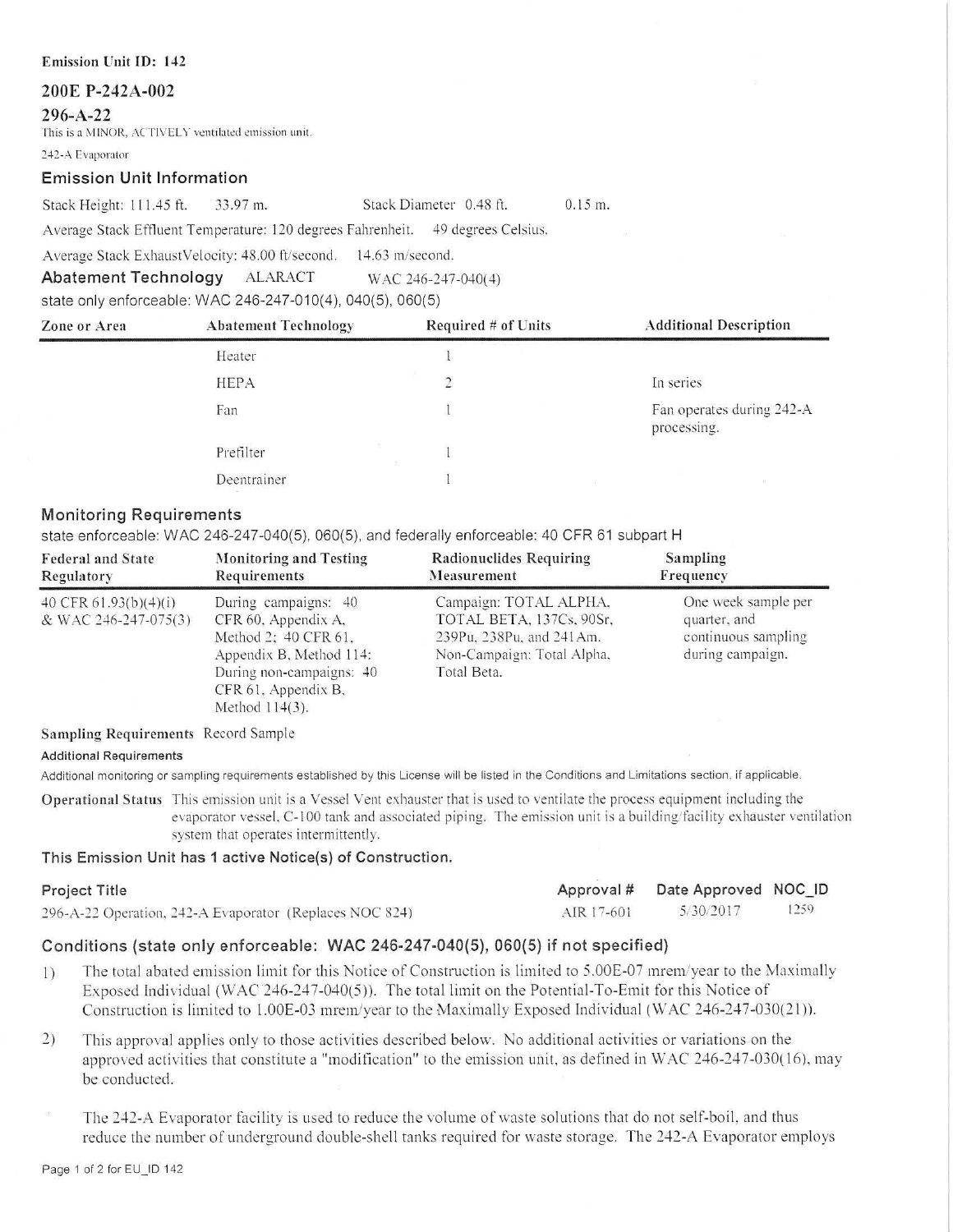### **200E P-242A-002**

### **296-A-22**

This is a MINOR, ACTIVELY ventilated emission unit.

242-A Evaporator

## **Emission Unit Information**

Stack Height: 111.45 ft. 33.97 m. Stack Diameter 0.48 ft.

0.15 m.

Average Stack Effluent Temperature: 120 degrees Fahrenheit. 49 degrees Celsius.

Average Stack ExhaustVelocity: 48.00 ft/second. 14.63 m/second.

**Abatement Technology** ALARACT WAC 246-247-040(4)

state only enforceable: WAC 246-247-010(4), 040(5), 060(5)

| Zone or Area | <b>Abatement Technology</b> | Required # of Units | <b>Additional Description</b>            |  |
|--------------|-----------------------------|---------------------|------------------------------------------|--|
|              | Heater                      |                     |                                          |  |
|              | <b>HEPA</b>                 |                     | In series                                |  |
|              | Fan                         |                     | Fan operates during 242-A<br>processing. |  |
|              | Prefilter                   |                     |                                          |  |
|              | Deentrainer                 |                     |                                          |  |

# **Monitoring Requirements**

state enforceable: WAC 246-247-040(5), 060(5), and federally enforceable: 40 CFR 61 subpart H

| <b>Federal and State</b>                        | <b>Monitoring and Testing</b>                                                                                                                                       | Radionuclides Requiring                                                                                                     | Sampling                                                                       |
|-------------------------------------------------|---------------------------------------------------------------------------------------------------------------------------------------------------------------------|-----------------------------------------------------------------------------------------------------------------------------|--------------------------------------------------------------------------------|
| Regulatory                                      | Requirements                                                                                                                                                        | Measurement                                                                                                                 | Frequency                                                                      |
| 40 CFR $61.93(b)(4)(i)$<br>& WAC 246-247-075(3) | During campaigns: 40<br>CFR 60, Appendix A.<br>Method 2: 40 CFR 61.<br>Appendix B, Method 114:<br>During non-campaigns: 40<br>CFR 61, Appendix B,<br>Method 114(3). | Campaign: TOTAL ALPHA,<br>TOTAL BETA, 137Cs, 90Sr,<br>239Pu, 238Pu, and 241Am.<br>Non-Campaign: Total Alpha,<br>Total Beta. | One week sample per<br>quarter, and<br>continuous sampling<br>during campaign. |

#### **Sampling Requirements** Record Sample

#### **Additional Requirements**

Additional monitoring or sampling requirements established by this License will be listed in the Conditions and Limitations section, if applicable.

**Operational Status** This emission unit is a Vessel Vent exhauster that is used to ventilate the process equipment including the evaporator vessel, C-100 tank and associated piping. The emission unit is a building/facility exhauster ventilation system that operates intermittently.

# **This Emission Unit has 1 active Notice(s) of Construction.**

| Project Title                                           |            | Approval # Date Approved NOC ID |      |
|---------------------------------------------------------|------------|---------------------------------|------|
| 296-A-22 Operation, 242-A Evaporator (Replaces NOC 824) | AIR 17-601 | 5/30/2017                       | 1259 |

# **Conditions (state only enforceable: WAC 246-247-040(5), 060(5) if not specified)**

- 1) The total abated emission limit for this Notice of Construction is limited to 5.00E-07 mrem/year to the Maximally Exposed Individual (WAC 246-247-040(5)). The total limit on the Potential-To-Emit for this Notice of Construction is limited to 1.00E-03 mrem/year to the Maximally Exposed Individual (WAC 246-247-030(21)).
- 2) This approval applies only to those activities described below. No additional activities or variations on the approved activities that constitute a "modification" to the emission unit, as defined in WAC 246-247-030(16), may be conducted.

The 242-A Evaporator facility is used to reduce the volume of waste solutions that do not self-boil , and thus reduce the number of underground double-shell tanks required for waste storage. The *2-12-A* Evaporator employs